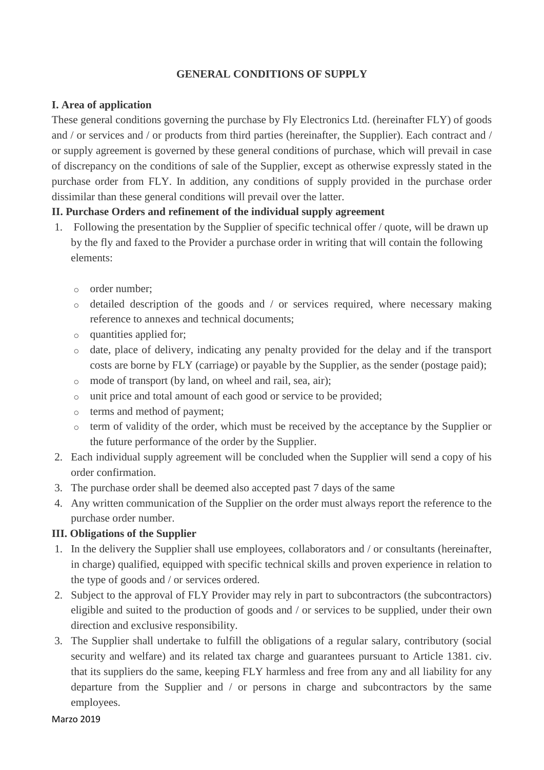#### **GENERAL CONDITIONS OF SUPPLY**

### **I. Area of application**

These general conditions governing the purchase by Fly Electronics Ltd. (hereinafter FLY) of goods and / or services and / or products from third parties (hereinafter, the Supplier). Each contract and / or supply agreement is governed by these general conditions of purchase, which will prevail in case of discrepancy on the conditions of sale of the Supplier, except as otherwise expressly stated in the purchase order from FLY. In addition, any conditions of supply provided in the purchase order dissimilar than these general conditions will prevail over the latter.

## **II. Purchase Orders and refinement of the individual supply agreement**

- 1. Following the presentation by the Supplier of specific technical offer / quote, will be drawn up by the fly and faxed to the Provider a purchase order in writing that will contain the following elements:
	- o order number;
	- o detailed description of the goods and / or services required, where necessary making reference to annexes and technical documents;
	- o quantities applied for;
	- o date, place of delivery, indicating any penalty provided for the delay and if the transport costs are borne by FLY (carriage) or payable by the Supplier, as the sender (postage paid);
	- o mode of transport (by land, on wheel and rail, sea, air);
	- o unit price and total amount of each good or service to be provided;
	- o terms and method of payment;
	- o term of validity of the order, which must be received by the acceptance by the Supplier or the future performance of the order by the Supplier.
- 2. Each individual supply agreement will be concluded when the Supplier will send a copy of his order confirmation.
- 3. The purchase order shall be deemed also accepted past 7 days of the same
- 4. Any written communication of the Supplier on the order must always report the reference to the purchase order number.

#### **III. Obligations of the Supplier**

- 1. In the delivery the Supplier shall use employees, collaborators and / or consultants (hereinafter, in charge) qualified, equipped with specific technical skills and proven experience in relation to the type of goods and / or services ordered.
- 2. Subject to the approval of FLY Provider may rely in part to subcontractors (the subcontractors) eligible and suited to the production of goods and / or services to be supplied, under their own direction and exclusive responsibility.
- 3. The Supplier shall undertake to fulfill the obligations of a regular salary, contributory (social security and welfare) and its related tax charge and guarantees pursuant to Article 1381. civ. that its suppliers do the same, keeping FLY harmless and free from any and all liability for any departure from the Supplier and / or persons in charge and subcontractors by the same employees.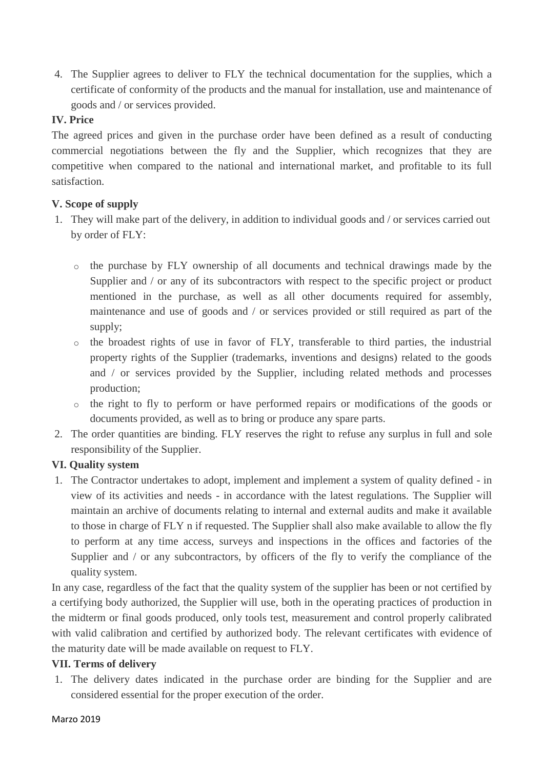4. The Supplier agrees to deliver to FLY the technical documentation for the supplies, which a certificate of conformity of the products and the manual for installation, use and maintenance of goods and / or services provided.

### **IV. Price**

The agreed prices and given in the purchase order have been defined as a result of conducting commercial negotiations between the fly and the Supplier, which recognizes that they are competitive when compared to the national and international market, and profitable to its full satisfaction.

# **V. Scope of supply**

- 1. They will make part of the delivery, in addition to individual goods and / or services carried out by order of FLY:
	- o the purchase by FLY ownership of all documents and technical drawings made by the Supplier and / or any of its subcontractors with respect to the specific project or product mentioned in the purchase, as well as all other documents required for assembly, maintenance and use of goods and / or services provided or still required as part of the supply;
	- o the broadest rights of use in favor of FLY, transferable to third parties, the industrial property rights of the Supplier (trademarks, inventions and designs) related to the goods and / or services provided by the Supplier, including related methods and processes production;
	- o the right to fly to perform or have performed repairs or modifications of the goods or documents provided, as well as to bring or produce any spare parts.
- 2. The order quantities are binding. FLY reserves the right to refuse any surplus in full and sole responsibility of the Supplier.

# **VI. Quality system**

1. The Contractor undertakes to adopt, implement and implement a system of quality defined - in view of its activities and needs - in accordance with the latest regulations. The Supplier will maintain an archive of documents relating to internal and external audits and make it available to those in charge of FLY n if requested. The Supplier shall also make available to allow the fly to perform at any time access, surveys and inspections in the offices and factories of the Supplier and / or any subcontractors, by officers of the fly to verify the compliance of the quality system.

In any case, regardless of the fact that the quality system of the supplier has been or not certified by a certifying body authorized, the Supplier will use, both in the operating practices of production in the midterm or final goods produced, only tools test, measurement and control properly calibrated with valid calibration and certified by authorized body. The relevant certificates with evidence of the maturity date will be made available on request to FLY.

# **VII. Terms of delivery**

1. The delivery dates indicated in the purchase order are binding for the Supplier and are considered essential for the proper execution of the order.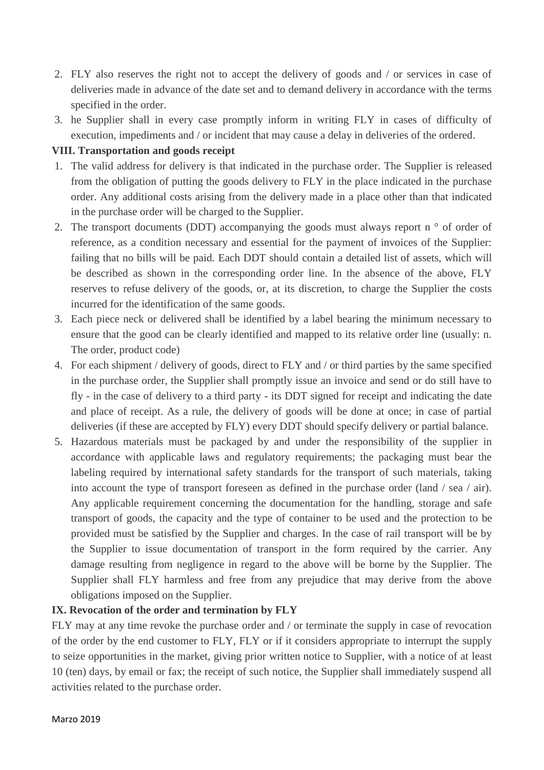- 2. FLY also reserves the right not to accept the delivery of goods and / or services in case of deliveries made in advance of the date set and to demand delivery in accordance with the terms specified in the order.
- 3. he Supplier shall in every case promptly inform in writing FLY in cases of difficulty of execution, impediments and / or incident that may cause a delay in deliveries of the ordered.

## **VIII. Transportation and goods receipt**

- 1. The valid address for delivery is that indicated in the purchase order. The Supplier is released from the obligation of putting the goods delivery to FLY in the place indicated in the purchase order. Any additional costs arising from the delivery made in a place other than that indicated in the purchase order will be charged to the Supplier.
- 2. The transport documents (DDT) accompanying the goods must always report n  $\degree$  of order of reference, as a condition necessary and essential for the payment of invoices of the Supplier: failing that no bills will be paid. Each DDT should contain a detailed list of assets, which will be described as shown in the corresponding order line. In the absence of the above, FLY reserves to refuse delivery of the goods, or, at its discretion, to charge the Supplier the costs incurred for the identification of the same goods.
- 3. Each piece neck or delivered shall be identified by a label bearing the minimum necessary to ensure that the good can be clearly identified and mapped to its relative order line (usually: n. The order, product code)
- 4. For each shipment / delivery of goods, direct to FLY and / or third parties by the same specified in the purchase order, the Supplier shall promptly issue an invoice and send or do still have to fly - in the case of delivery to a third party - its DDT signed for receipt and indicating the date and place of receipt. As a rule, the delivery of goods will be done at once; in case of partial deliveries (if these are accepted by FLY) every DDT should specify delivery or partial balance.
- 5. Hazardous materials must be packaged by and under the responsibility of the supplier in accordance with applicable laws and regulatory requirements; the packaging must bear the labeling required by international safety standards for the transport of such materials, taking into account the type of transport foreseen as defined in the purchase order (land / sea / air). Any applicable requirement concerning the documentation for the handling, storage and safe transport of goods, the capacity and the type of container to be used and the protection to be provided must be satisfied by the Supplier and charges. In the case of rail transport will be by the Supplier to issue documentation of transport in the form required by the carrier. Any damage resulting from negligence in regard to the above will be borne by the Supplier. The Supplier shall FLY harmless and free from any prejudice that may derive from the above obligations imposed on the Supplier.

#### **IX. Revocation of the order and termination by FLY**

FLY may at any time revoke the purchase order and / or terminate the supply in case of revocation of the order by the end customer to FLY, FLY or if it considers appropriate to interrupt the supply to seize opportunities in the market, giving prior written notice to Supplier, with a notice of at least 10 (ten) days, by email or fax; the receipt of such notice, the Supplier shall immediately suspend all activities related to the purchase order.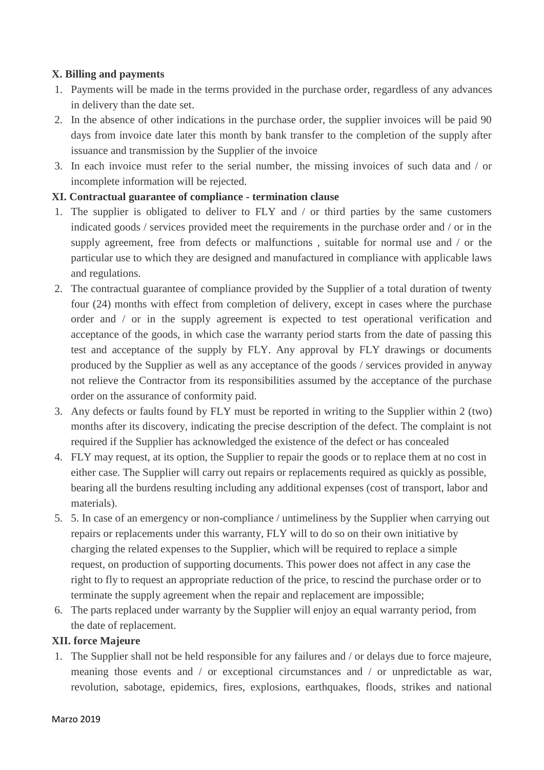### **X. Billing and payments**

- 1. Payments will be made in the terms provided in the purchase order, regardless of any advances in delivery than the date set.
- 2. In the absence of other indications in the purchase order, the supplier invoices will be paid 90 days from invoice date later this month by bank transfer to the completion of the supply after issuance and transmission by the Supplier of the invoice
- 3. In each invoice must refer to the serial number, the missing invoices of such data and / or incomplete information will be rejected.

## **XI. Contractual guarantee of compliance - termination clause**

- 1. The supplier is obligated to deliver to FLY and / or third parties by the same customers indicated goods / services provided meet the requirements in the purchase order and / or in the supply agreement, free from defects or malfunctions , suitable for normal use and / or the particular use to which they are designed and manufactured in compliance with applicable laws and regulations.
- 2. The contractual guarantee of compliance provided by the Supplier of a total duration of twenty four (24) months with effect from completion of delivery, except in cases where the purchase order and / or in the supply agreement is expected to test operational verification and acceptance of the goods, in which case the warranty period starts from the date of passing this test and acceptance of the supply by FLY. Any approval by FLY drawings or documents produced by the Supplier as well as any acceptance of the goods / services provided in anyway not relieve the Contractor from its responsibilities assumed by the acceptance of the purchase order on the assurance of conformity paid.
- 3. Any defects or faults found by FLY must be reported in writing to the Supplier within 2 (two) months after its discovery, indicating the precise description of the defect. The complaint is not required if the Supplier has acknowledged the existence of the defect or has concealed
- 4. FLY may request, at its option, the Supplier to repair the goods or to replace them at no cost in either case. The Supplier will carry out repairs or replacements required as quickly as possible, bearing all the burdens resulting including any additional expenses (cost of transport, labor and materials).
- 5. 5. In case of an emergency or non-compliance / untimeliness by the Supplier when carrying out repairs or replacements under this warranty, FLY will to do so on their own initiative by charging the related expenses to the Supplier, which will be required to replace a simple request, on production of supporting documents. This power does not affect in any case the right to fly to request an appropriate reduction of the price, to rescind the purchase order or to terminate the supply agreement when the repair and replacement are impossible;
- 6. The parts replaced under warranty by the Supplier will enjoy an equal warranty period, from the date of replacement.

#### **XII. force Majeure**

1. The Supplier shall not be held responsible for any failures and / or delays due to force majeure, meaning those events and / or exceptional circumstances and / or unpredictable as war, revolution, sabotage, epidemics, fires, explosions, earthquakes, floods, strikes and national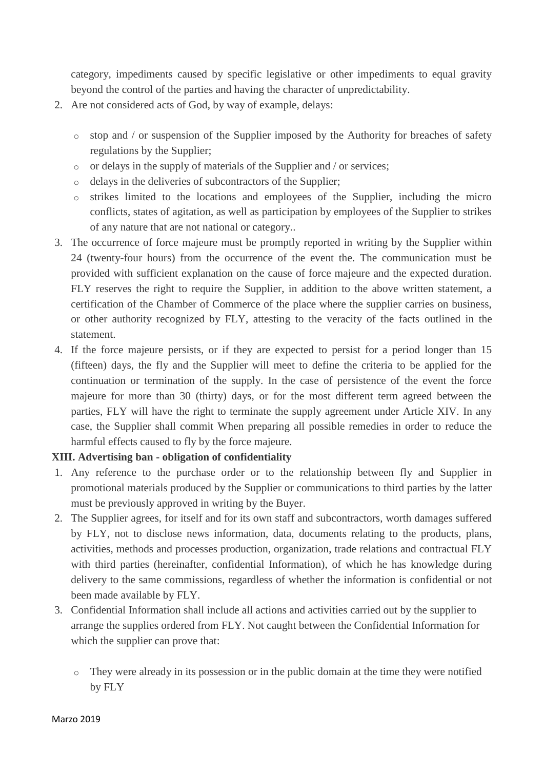category, impediments caused by specific legislative or other impediments to equal gravity beyond the control of the parties and having the character of unpredictability.

- 2. Are not considered acts of God, by way of example, delays:
	- $\circ$  stop and / or suspension of the Supplier imposed by the Authority for breaches of safety regulations by the Supplier;
	- $\circ$  or delays in the supply of materials of the Supplier and / or services:
	- o delays in the deliveries of subcontractors of the Supplier;
	- o strikes limited to the locations and employees of the Supplier, including the micro conflicts, states of agitation, as well as participation by employees of the Supplier to strikes of any nature that are not national or category..
- 3. The occurrence of force majeure must be promptly reported in writing by the Supplier within 24 (twenty-four hours) from the occurrence of the event the. The communication must be provided with sufficient explanation on the cause of force majeure and the expected duration. FLY reserves the right to require the Supplier, in addition to the above written statement, a certification of the Chamber of Commerce of the place where the supplier carries on business, or other authority recognized by FLY, attesting to the veracity of the facts outlined in the statement.
- 4. If the force majeure persists, or if they are expected to persist for a period longer than 15 (fifteen) days, the fly and the Supplier will meet to define the criteria to be applied for the continuation or termination of the supply. In the case of persistence of the event the force majeure for more than 30 (thirty) days, or for the most different term agreed between the parties, FLY will have the right to terminate the supply agreement under Article XIV. In any case, the Supplier shall commit When preparing all possible remedies in order to reduce the harmful effects caused to fly by the force majeure.

#### **XIII. Advertising ban - obligation of confidentiality**

- 1. Any reference to the purchase order or to the relationship between fly and Supplier in promotional materials produced by the Supplier or communications to third parties by the latter must be previously approved in writing by the Buyer.
- 2. The Supplier agrees, for itself and for its own staff and subcontractors, worth damages suffered by FLY, not to disclose news information, data, documents relating to the products, plans, activities, methods and processes production, organization, trade relations and contractual FLY with third parties (hereinafter, confidential Information), of which he has knowledge during delivery to the same commissions, regardless of whether the information is confidential or not been made available by FLY.
- 3. Confidential Information shall include all actions and activities carried out by the supplier to arrange the supplies ordered from FLY. Not caught between the Confidential Information for which the supplier can prove that:
	- o They were already in its possession or in the public domain at the time they were notified by FLY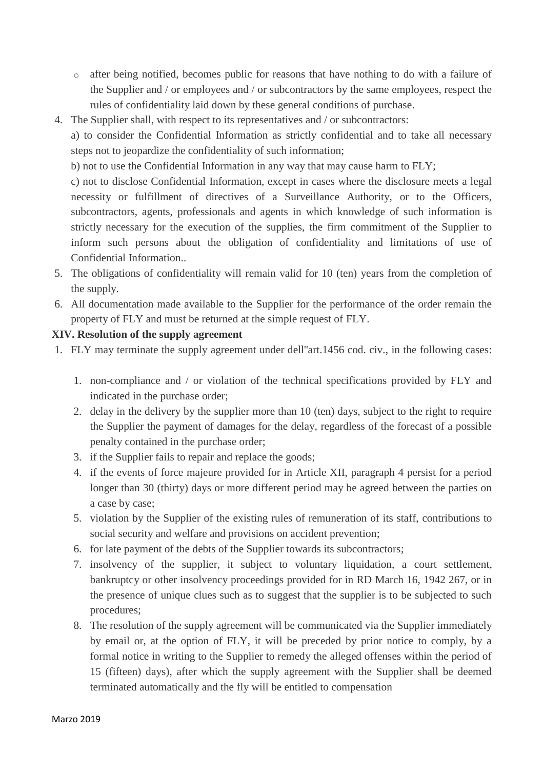- o after being notified, becomes public for reasons that have nothing to do with a failure of the Supplier and / or employees and / or subcontractors by the same employees, respect the rules of confidentiality laid down by these general conditions of purchase.
- 4. The Supplier shall, with respect to its representatives and / or subcontractors:

a) to consider the Confidential Information as strictly confidential and to take all necessary steps not to jeopardize the confidentiality of such information;

b) not to use the Confidential Information in any way that may cause harm to FLY;

c) not to disclose Confidential Information, except in cases where the disclosure meets a legal necessity or fulfillment of directives of a Surveillance Authority, or to the Officers, subcontractors, agents, professionals and agents in which knowledge of such information is strictly necessary for the execution of the supplies, the firm commitment of the Supplier to inform such persons about the obligation of confidentiality and limitations of use of Confidential Information..

- 5. The obligations of confidentiality will remain valid for 10 (ten) years from the completion of the supply.
- 6. All documentation made available to the Supplier for the performance of the order remain the property of FLY and must be returned at the simple request of FLY.

## **XIV. Resolution of the supply agreement**

- 1. FLY may terminate the supply agreement under dell''art.1456 cod. civ., in the following cases:
	- 1. non-compliance and / or violation of the technical specifications provided by FLY and indicated in the purchase order;
	- 2. delay in the delivery by the supplier more than 10 (ten) days, subject to the right to require the Supplier the payment of damages for the delay, regardless of the forecast of a possible penalty contained in the purchase order;
	- 3. if the Supplier fails to repair and replace the goods;
	- 4. if the events of force majeure provided for in Article XII, paragraph 4 persist for a period longer than 30 (thirty) days or more different period may be agreed between the parties on a case by case;
	- 5. violation by the Supplier of the existing rules of remuneration of its staff, contributions to social security and welfare and provisions on accident prevention;
	- 6. for late payment of the debts of the Supplier towards its subcontractors;
	- 7. insolvency of the supplier, it subject to voluntary liquidation, a court settlement, bankruptcy or other insolvency proceedings provided for in RD March 16, 1942 267, or in the presence of unique clues such as to suggest that the supplier is to be subjected to such procedures;
	- 8. The resolution of the supply agreement will be communicated via the Supplier immediately by email or, at the option of FLY, it will be preceded by prior notice to comply, by a formal notice in writing to the Supplier to remedy the alleged offenses within the period of 15 (fifteen) days), after which the supply agreement with the Supplier shall be deemed terminated automatically and the fly will be entitled to compensation